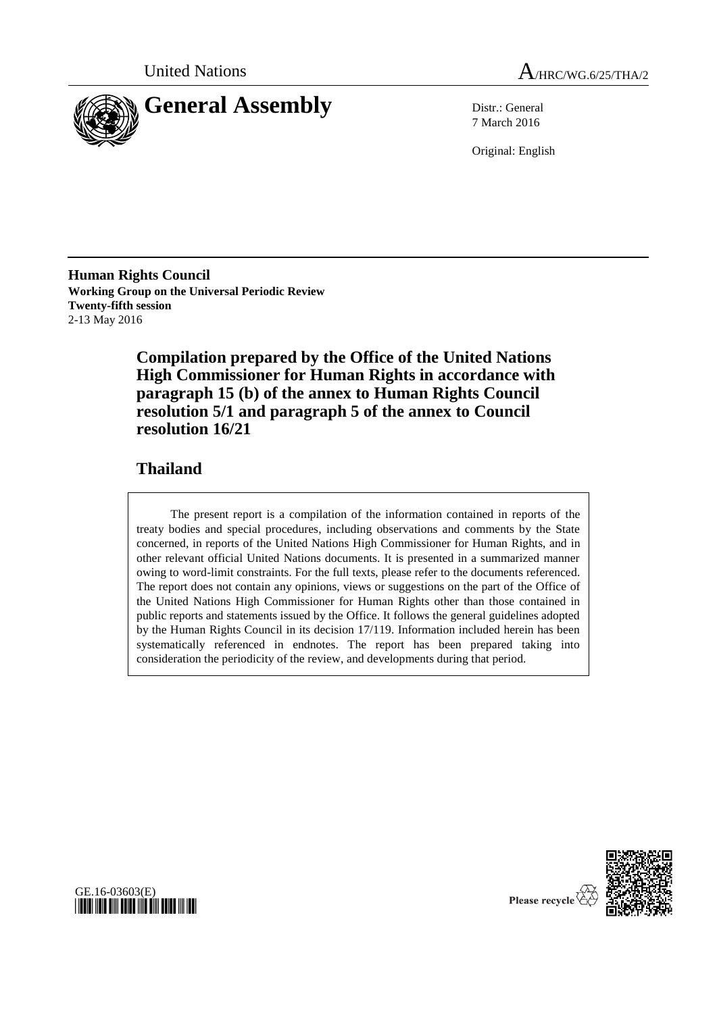



7 March 2016

Original: English

**Human Rights Council Working Group on the Universal Periodic Review Twenty-fifth session** 2-13 May 2016

> **Compilation prepared by the Office of the United Nations High Commissioner for Human Rights in accordance with paragraph 15 (b) of the annex to Human Rights Council resolution 5/1 and paragraph 5 of the annex to Council resolution 16/21**

## **Thailand**

The present report is a compilation of the information contained in reports of the treaty bodies and special procedures, including observations and comments by the State concerned, in reports of the United Nations High Commissioner for Human Rights, and in other relevant official United Nations documents. It is presented in a summarized manner owing to word-limit constraints. For the full texts, please refer to the documents referenced. The report does not contain any opinions, views or suggestions on the part of the Office of the United Nations High Commissioner for Human Rights other than those contained in public reports and statements issued by the Office. It follows the general guidelines adopted by the Human Rights Council in its decision 17/119. Information included herein has been systematically referenced in endnotes. The report has been prepared taking into consideration the periodicity of the review, and developments during that period.





Please recycle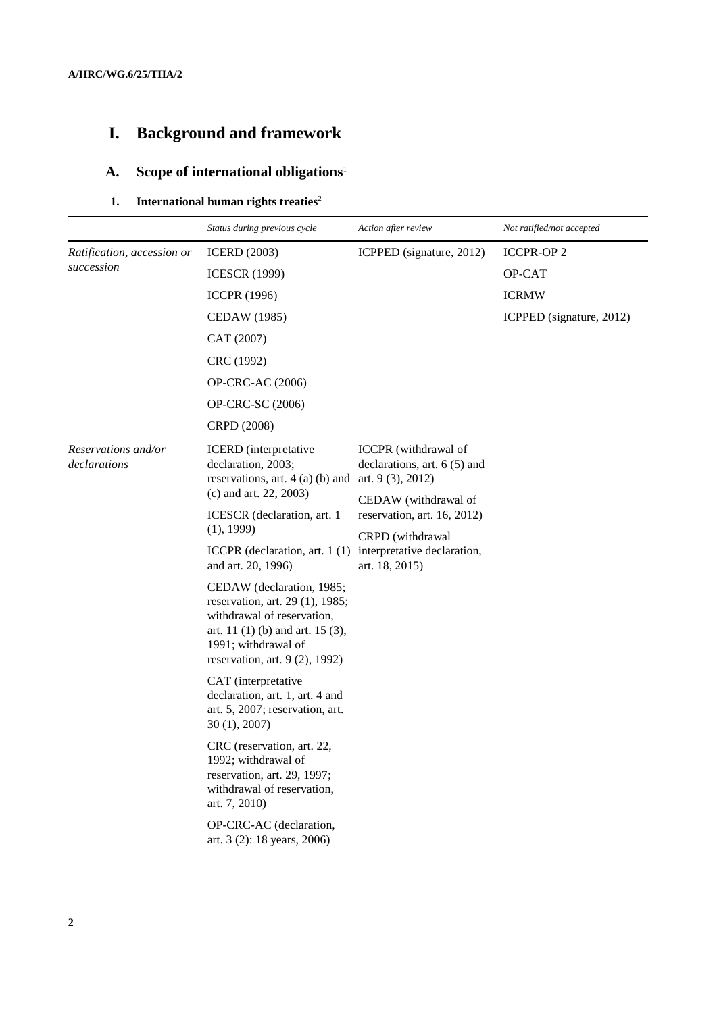# **I. Background and framework**

## **A. Scope of international obligations**<sup>1</sup>

#### **1. International human rights treaties** 2

|                                     | Status during previous cycle                                                                                                                                                                                                                                                                                                                                                                                                                                                                                                                                                                                                                                                                                                                           | Action after review                                                                                                                                                                      | Not ratified/not accepted |
|-------------------------------------|--------------------------------------------------------------------------------------------------------------------------------------------------------------------------------------------------------------------------------------------------------------------------------------------------------------------------------------------------------------------------------------------------------------------------------------------------------------------------------------------------------------------------------------------------------------------------------------------------------------------------------------------------------------------------------------------------------------------------------------------------------|------------------------------------------------------------------------------------------------------------------------------------------------------------------------------------------|---------------------------|
| Ratification, accession or          | <b>ICERD</b> (2003)                                                                                                                                                                                                                                                                                                                                                                                                                                                                                                                                                                                                                                                                                                                                    | ICPPED (signature, 2012)                                                                                                                                                                 | <b>ICCPR-OP2</b>          |
| succession                          | <b>ICESCR (1999)</b>                                                                                                                                                                                                                                                                                                                                                                                                                                                                                                                                                                                                                                                                                                                                   |                                                                                                                                                                                          | OP-CAT                    |
|                                     | <b>ICCPR</b> (1996)                                                                                                                                                                                                                                                                                                                                                                                                                                                                                                                                                                                                                                                                                                                                    |                                                                                                                                                                                          | <b>ICRMW</b>              |
|                                     | <b>CEDAW</b> (1985)                                                                                                                                                                                                                                                                                                                                                                                                                                                                                                                                                                                                                                                                                                                                    |                                                                                                                                                                                          | ICPPED (signature, 2012)  |
|                                     | CAT (2007)                                                                                                                                                                                                                                                                                                                                                                                                                                                                                                                                                                                                                                                                                                                                             |                                                                                                                                                                                          |                           |
|                                     | CRC (1992)                                                                                                                                                                                                                                                                                                                                                                                                                                                                                                                                                                                                                                                                                                                                             |                                                                                                                                                                                          |                           |
|                                     | <b>OP-CRC-AC (2006)</b>                                                                                                                                                                                                                                                                                                                                                                                                                                                                                                                                                                                                                                                                                                                                |                                                                                                                                                                                          |                           |
|                                     | OP-CRC-SC (2006)                                                                                                                                                                                                                                                                                                                                                                                                                                                                                                                                                                                                                                                                                                                                       |                                                                                                                                                                                          |                           |
|                                     | CRPD (2008)                                                                                                                                                                                                                                                                                                                                                                                                                                                                                                                                                                                                                                                                                                                                            |                                                                                                                                                                                          |                           |
| Reservations and/or<br>declarations | <b>ICERD</b> (interpretative<br>declaration, 2003;<br>reservations, art. $4$ (a) (b) and art. $9$ (3), 2012)<br>(c) and art. 22, 2003)<br>ICESCR (declaration, art. 1)<br>(1), 1999)<br>ICCPR (declaration, art. $1(1)$<br>and art. 20, 1996)<br>CEDAW (declaration, 1985;<br>reservation, art. 29 (1), 1985;<br>withdrawal of reservation,<br>art. $11(1)$ (b) and art. $15(3)$ ,<br>1991; withdrawal of<br>reservation, art. $9(2)$ , 1992)<br>CAT (interpretative<br>declaration, art. 1, art. 4 and<br>art. 5, 2007; reservation, art.<br>30(1), 2007<br>CRC (reservation, art. 22,<br>1992; withdrawal of<br>reservation, art. 29, 1997;<br>withdrawal of reservation,<br>art. 7, 2010)<br>OP-CRC-AC (declaration,<br>art. 3 (2): 18 years, 2006) | <b>ICCPR</b> (withdrawal of<br>declarations, art. $6(5)$ and<br>CEDAW (withdrawal of<br>reservation, art. 16, 2012)<br>CRPD (withdrawal<br>interpretative declaration,<br>art. 18, 2015) |                           |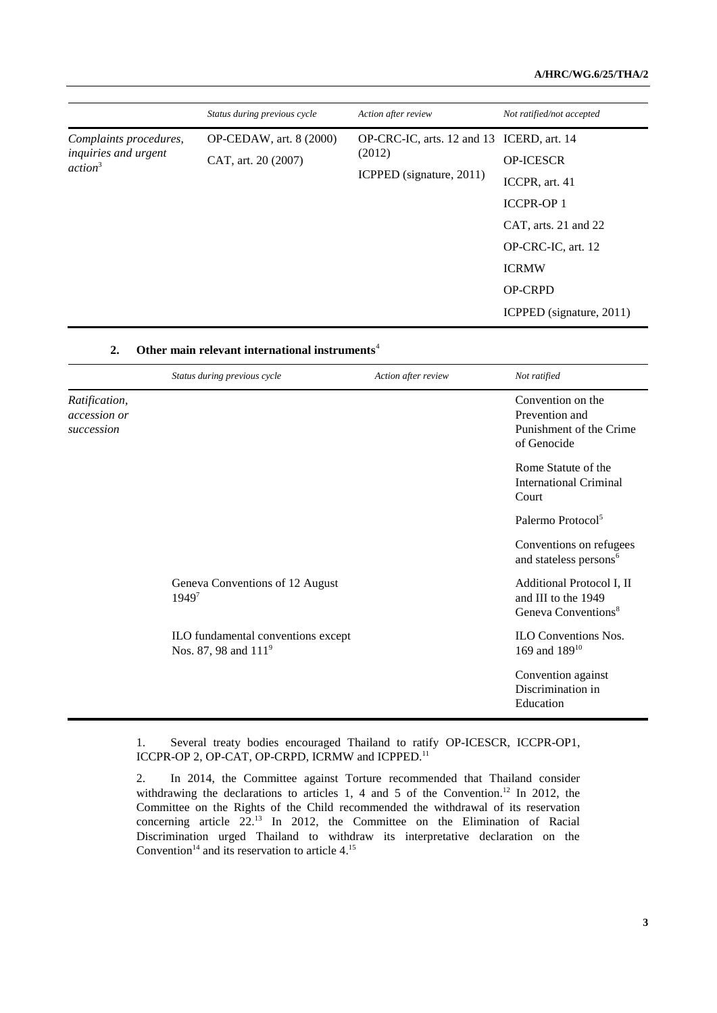#### **A/HRC/WG.6/25/THA/2**

|                                                                       | Status during previous cycle                   | Action after review                                                             | Not ratified/not accepted                                                                                            |
|-----------------------------------------------------------------------|------------------------------------------------|---------------------------------------------------------------------------------|----------------------------------------------------------------------------------------------------------------------|
| Complaints procedures,<br>inquiries and urgent<br>action <sup>3</sup> | OP-CEDAW, art. 8 (2000)<br>CAT, art. 20 (2007) | OP-CRC-IC, arts. 12 and 13 ICERD, art. 14<br>(2012)<br>ICPPED (signature, 2011) | <b>OP-ICESCR</b><br>ICCPR, art. 41<br><b>ICCPR-OP1</b><br>CAT, arts. 21 and 22<br>OP-CRC-IC, art. 12<br><b>ICRMW</b> |
|                                                                       |                                                |                                                                                 | <b>OP-CRPD</b><br>ICPPED (signature, 2011)                                                                           |

|                                                    | Status during previous cycle                                           | Action after review | Not ratified                                                                        |
|----------------------------------------------------|------------------------------------------------------------------------|---------------------|-------------------------------------------------------------------------------------|
| Ratification,<br><i>accession or</i><br>succession |                                                                        |                     | Convention on the<br>Prevention and<br>Punishment of the Crime<br>of Genocide       |
|                                                    |                                                                        |                     | Rome Statute of the<br>International Criminal<br>Court                              |
|                                                    |                                                                        |                     | Palermo Protocol <sup>5</sup>                                                       |
|                                                    |                                                                        |                     | Conventions on refugees<br>and stateless persons <sup>6</sup>                       |
|                                                    | Geneva Conventions of 12 August<br>19497                               |                     | Additional Protocol I, II<br>and III to the 1949<br>Geneva Conventions <sup>8</sup> |
|                                                    | ILO fundamental conventions except<br>Nos. 87, 98 and 111 <sup>9</sup> |                     | <b>ILO Conventions Nos.</b><br>169 and $189^{10}$                                   |
|                                                    |                                                                        |                     | Convention against<br>Discrimination in<br>Education                                |

## **2. Other main relevant international instruments**<sup>4</sup>

1. Several treaty bodies encouraged Thailand to ratify OP-ICESCR, ICCPR-OP1, ICCPR-OP 2, OP-CAT, OP-CRPD, ICRMW and ICPPED.<sup>11</sup>

2. In 2014, the Committee against Torture recommended that Thailand consider withdrawing the declarations to articles 1, 4 and 5 of the Convention.<sup>12</sup> In 2012, the Committee on the Rights of the Child recommended the withdrawal of its reservation concerning article 22.<sup>13</sup> In 2012, the Committee on the Elimination of Racial Discrimination urged Thailand to withdraw its interpretative declaration on the Convention<sup>14</sup> and its reservation to article  $4.^{15}$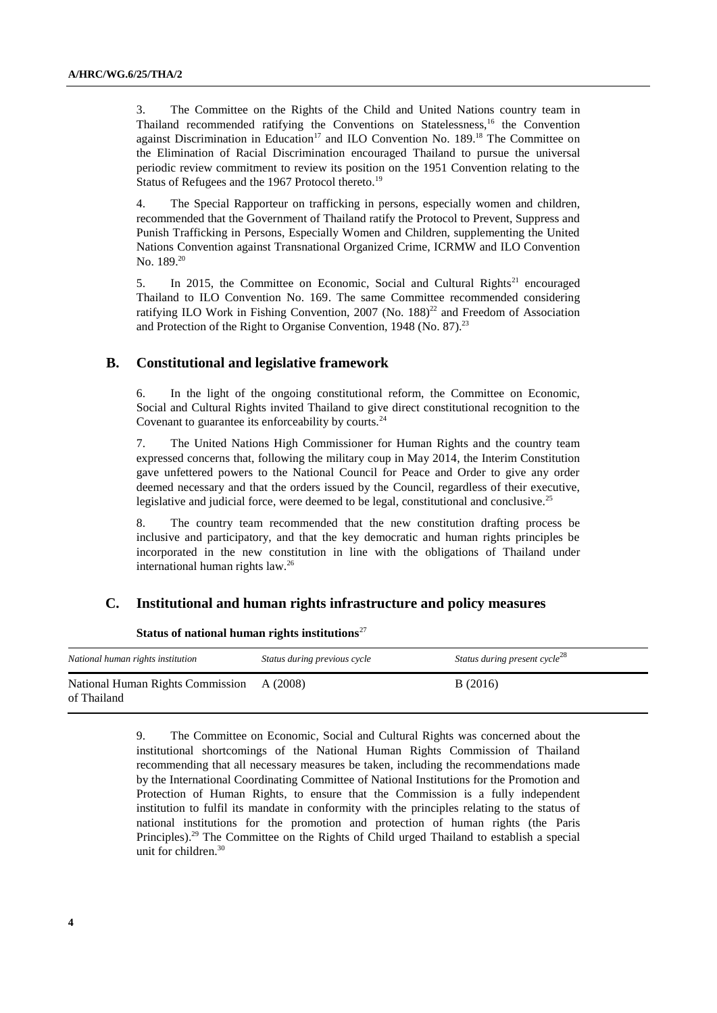3. The Committee on the Rights of the Child and United Nations country team in Thailand recommended ratifying the Conventions on Statelessness, $16$  the Convention against Discrimination in Education<sup>17</sup> and ILO Convention No. 189.<sup>18</sup> The Committee on the Elimination of Racial Discrimination encouraged Thailand to pursue the universal periodic review commitment to review its position on the 1951 Convention relating to the Status of Refugees and the 1967 Protocol thereto.<sup>19</sup>

4. The Special Rapporteur on trafficking in persons, especially women and children, recommended that the Government of Thailand ratify the Protocol to Prevent, Suppress and Punish Trafficking in Persons, Especially Women and Children, supplementing the United Nations Convention against Transnational Organized Crime, ICRMW and ILO Convention No. 189. 20

5. In 2015, the Committee on Economic, Social and Cultural Rights<sup>21</sup> encouraged Thailand to ILO Convention No. 169. The same Committee recommended considering ratifying ILO Work in Fishing Convention, 2007 (No. 188)<sup>22</sup> and Freedom of Association and Protection of the Right to Organise Convention, 1948 (No. 87).<sup>23</sup>

#### **B. Constitutional and legislative framework**

6. In the light of the ongoing constitutional reform, the Committee on Economic, Social and Cultural Rights invited Thailand to give direct constitutional recognition to the Covenant to guarantee its enforceability by courts.<sup>24</sup>

7. The United Nations High Commissioner for Human Rights and the country team expressed concerns that, following the military coup in May 2014, the Interim Constitution gave unfettered powers to the National Council for Peace and Order to give any order deemed necessary and that the orders issued by the Council, regardless of their executive, legislative and judicial force, were deemed to be legal, constitutional and conclusive.<sup>25</sup>

8. The country team recommended that the new constitution drafting process be inclusive and participatory, and that the key democratic and human rights principles be incorporated in the new constitution in line with the obligations of Thailand under international human rights law.<sup>26</sup>

#### **C. Institutional and human rights infrastructure and policy measures**

| National human rights institution                        | Status during previous cycle | Status during present cycle <sup>28</sup> |
|----------------------------------------------------------|------------------------------|-------------------------------------------|
| National Human Rights Commission A (2008)<br>of Thailand |                              | B(2016)                                   |

**Status of national human rights institutions**<sup>27</sup>

9. The Committee on Economic, Social and Cultural Rights was concerned about the institutional shortcomings of the National Human Rights Commission of Thailand recommending that all necessary measures be taken, including the recommendations made by the International Coordinating Committee of National Institutions for the Promotion and Protection of Human Rights, to ensure that the Commission is a fully independent institution to fulfil its mandate in conformity with the principles relating to the status of national institutions for the promotion and protection of human rights (the Paris Principles).<sup>29</sup> The Committee on the Rights of Child urged Thailand to establish a special unit for children.<sup>30</sup>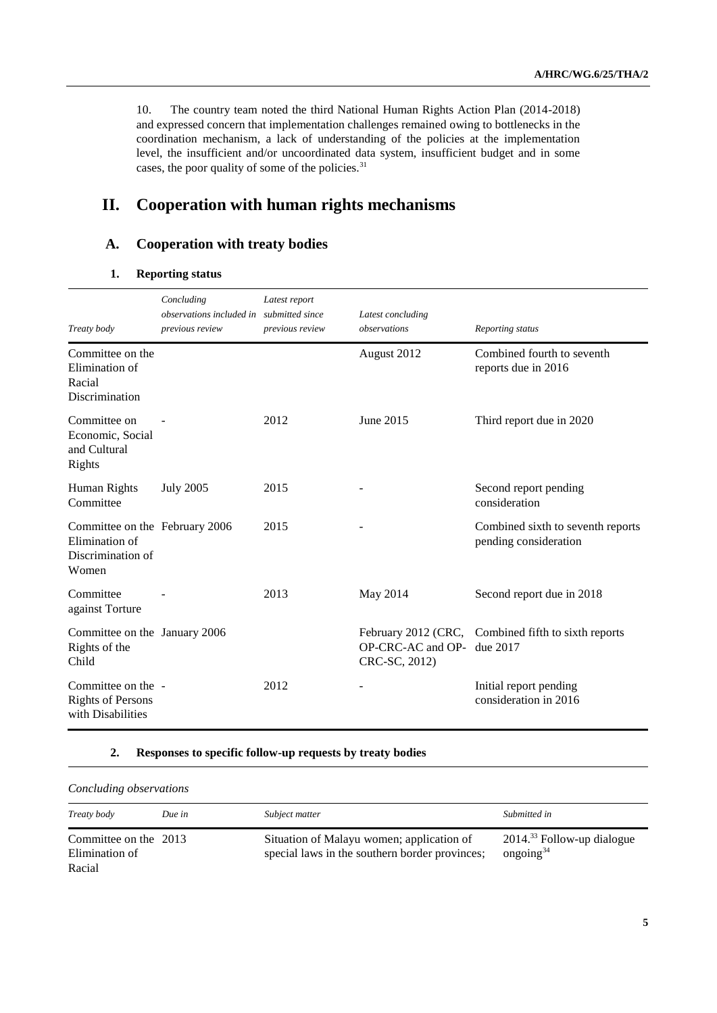10. The country team noted the third National Human Rights Action Plan (2014-2018) and expressed concern that implementation challenges remained owing to bottlenecks in the coordination mechanism, a lack of understanding of the policies at the implementation level, the insufficient and/or uncoordinated data system, insufficient budget and in some cases, the poor quality of some of the policies.<sup>31</sup>

## **II. Cooperation with human rights mechanisms**

## **A. Cooperation with treaty bodies**

#### **1. Reporting status**

| Treaty body                                                                    | Concluding<br>observations included in submitted since<br>previous review | Latest report<br>previous review | Latest concluding<br>observations  | Reporting status                                                |
|--------------------------------------------------------------------------------|---------------------------------------------------------------------------|----------------------------------|------------------------------------|-----------------------------------------------------------------|
| Committee on the<br>Elimination of<br>Racial<br>Discrimination                 |                                                                           |                                  | August 2012                        | Combined fourth to seventh<br>reports due in 2016               |
| Committee on<br>Economic, Social<br>and Cultural<br>Rights                     |                                                                           | 2012                             | June 2015                          | Third report due in 2020                                        |
| Human Rights<br>Committee                                                      | <b>July 2005</b>                                                          | 2015                             |                                    | Second report pending<br>consideration                          |
| Committee on the February 2006<br>Elimination of<br>Discrimination of<br>Women |                                                                           | 2015                             |                                    | Combined sixth to seventh reports<br>pending consideration      |
| Committee<br>against Torture                                                   |                                                                           | 2013                             | May 2014                           | Second report due in 2018                                       |
| Committee on the January 2006<br>Rights of the<br>Child                        |                                                                           |                                  | OP-CRC-AC and OP-<br>CRC-SC, 2012) | February 2012 (CRC, Combined fifth to sixth reports<br>due 2017 |
| Committee on the -<br><b>Rights of Persons</b><br>with Disabilities            |                                                                           | 2012                             |                                    | Initial report pending<br>consideration in 2016                 |

#### **2. Responses to specific follow-up requests by treaty bodies**

| Concluding observations                           |        |                                                                                             |                                              |
|---------------------------------------------------|--------|---------------------------------------------------------------------------------------------|----------------------------------------------|
| Treaty body                                       | Due in | Subject matter                                                                              | Submitted in                                 |
| Committee on the 2013<br>Elimination of<br>Racial |        | Situation of Malayu women; application of<br>special laws in the southern border provinces; | $2014.33$ Follow-up dialogue<br>ongoing $34$ |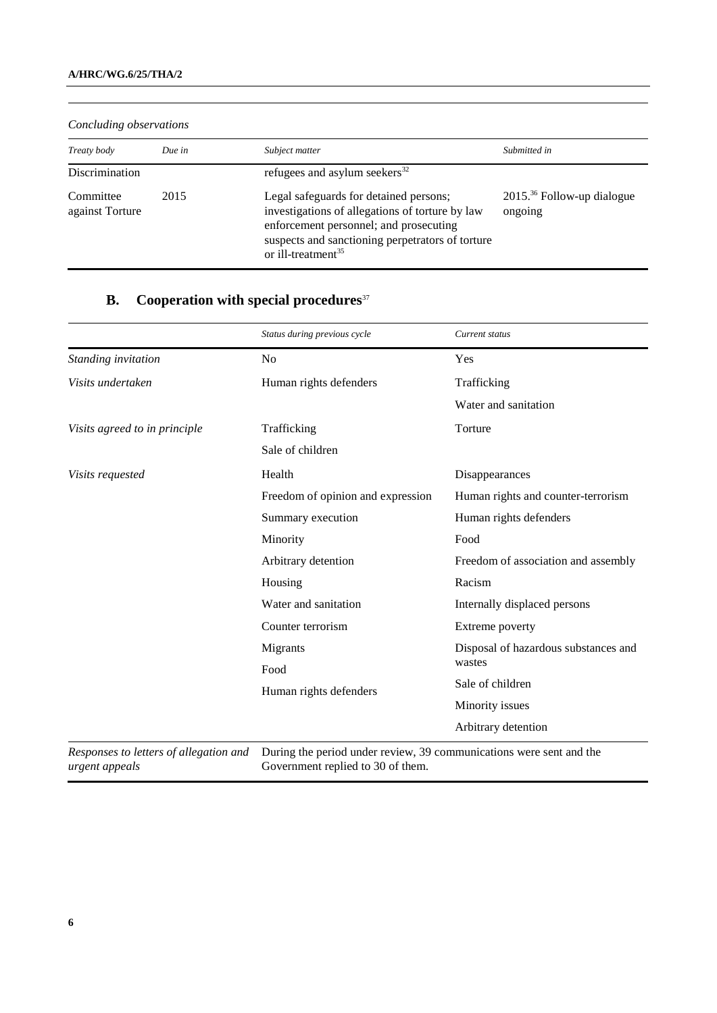| Concluding observations      |        |                                                                                                                                                                                                                           |                                            |
|------------------------------|--------|---------------------------------------------------------------------------------------------------------------------------------------------------------------------------------------------------------------------------|--------------------------------------------|
| Treaty body                  | Due in | Subject matter                                                                                                                                                                                                            | Submitted in                               |
| Discrimination               |        | refugees and asylum seekers $^{32}$                                                                                                                                                                                       |                                            |
| Committee<br>against Torture | 2015   | Legal safeguards for detained persons;<br>investigations of allegations of torture by law<br>enforcement personnel; and prosecuting<br>suspects and sanctioning perpetrators of torture<br>or ill-treatment <sup>35</sup> | $2015.^{36}$ Follow-up dialogue<br>ongoing |

## *Concluding observations*

## **B.** Cooperation with special procedures<sup>37</sup>

|                                                          | Status during previous cycle                                                                             | Current status                       |
|----------------------------------------------------------|----------------------------------------------------------------------------------------------------------|--------------------------------------|
| Standing invitation                                      | N <sub>0</sub>                                                                                           | Yes                                  |
| Visits undertaken                                        | Human rights defenders                                                                                   | Trafficking                          |
|                                                          |                                                                                                          | Water and sanitation                 |
| Visits agreed to in principle                            | Trafficking                                                                                              | Torture                              |
|                                                          | Sale of children                                                                                         |                                      |
| Visits requested                                         | Health                                                                                                   | Disappearances                       |
|                                                          | Freedom of opinion and expression                                                                        | Human rights and counter-terrorism   |
|                                                          | Summary execution                                                                                        | Human rights defenders               |
|                                                          | Minority                                                                                                 | Food                                 |
|                                                          | Arbitrary detention                                                                                      | Freedom of association and assembly  |
|                                                          | Housing                                                                                                  | Racism                               |
|                                                          | Water and sanitation                                                                                     | Internally displaced persons         |
|                                                          | Counter terrorism                                                                                        | Extreme poverty                      |
|                                                          | Migrants                                                                                                 | Disposal of hazardous substances and |
|                                                          | Food                                                                                                     | wastes                               |
|                                                          | Human rights defenders                                                                                   | Sale of children                     |
|                                                          |                                                                                                          | Minority issues                      |
|                                                          |                                                                                                          | Arbitrary detention                  |
| Responses to letters of allegation and<br>urgent appeals | During the period under review, 39 communications were sent and the<br>Government replied to 30 of them. |                                      |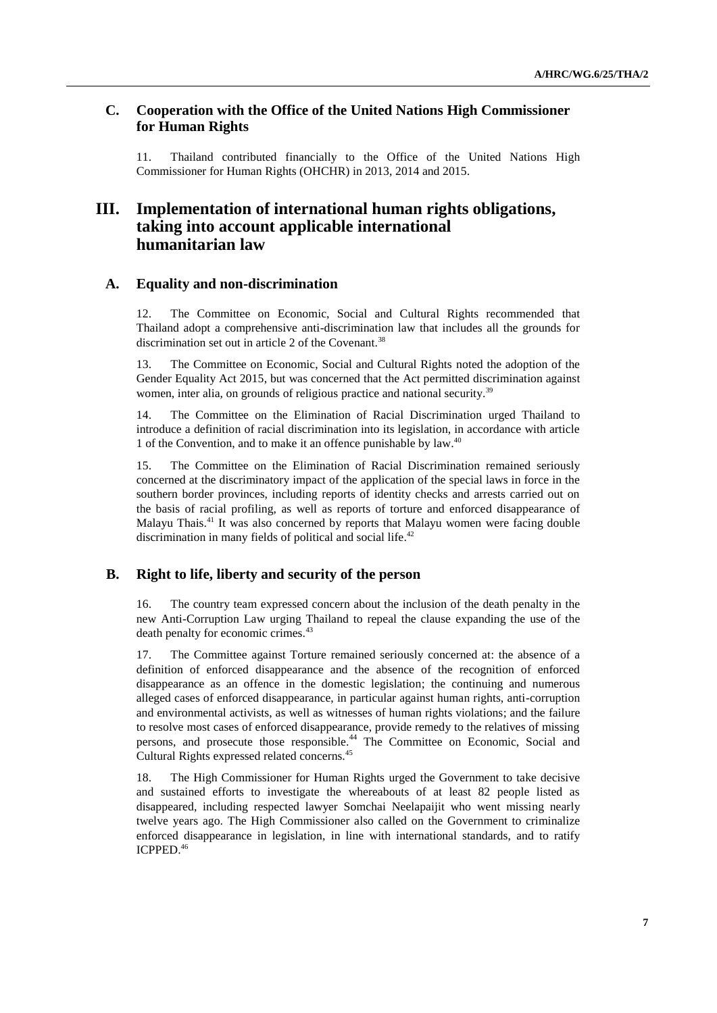## **C. Cooperation with the Office of the United Nations High Commissioner for Human Rights**

11. Thailand contributed financially to the Office of the United Nations High Commissioner for Human Rights (OHCHR) in 2013, 2014 and 2015.

## **III. Implementation of international human rights obligations, taking into account applicable international humanitarian law**

#### **A. Equality and non-discrimination**

12. The Committee on Economic, Social and Cultural Rights recommended that Thailand adopt a comprehensive anti-discrimination law that includes all the grounds for discrimination set out in article 2 of the Covenant.<sup>38</sup>

13. The Committee on Economic, Social and Cultural Rights noted the adoption of the Gender Equality Act 2015, but was concerned that the Act permitted discrimination against women, inter alia, on grounds of religious practice and national security.<sup>39</sup>

14. The Committee on the Elimination of Racial Discrimination urged Thailand to introduce a definition of racial discrimination into its legislation, in accordance with article 1 of the Convention, and to make it an offence punishable by law. 40

15. The Committee on the Elimination of Racial Discrimination remained seriously concerned at the discriminatory impact of the application of the special laws in force in the southern border provinces, including reports of identity checks and arrests carried out on the basis of racial profiling, as well as reports of torture and enforced disappearance of Malayu Thais.<sup>41</sup> It was also concerned by reports that Malayu women were facing double discrimination in many fields of political and social life.<sup>42</sup>

## **B. Right to life, liberty and security of the person**

16. The country team expressed concern about the inclusion of the death penalty in the new Anti-Corruption Law urging Thailand to repeal the clause expanding the use of the death penalty for economic crimes.<sup>43</sup>

17. The Committee against Torture remained seriously concerned at: the absence of a definition of enforced disappearance and the absence of the recognition of enforced disappearance as an offence in the domestic legislation; the continuing and numerous alleged cases of enforced disappearance, in particular against human rights, anti-corruption and environmental activists, as well as witnesses of human rights violations; and the failure to resolve most cases of enforced disappearance, provide remedy to the relatives of missing persons, and prosecute those responsible.<sup>44</sup> The Committee on Economic, Social and Cultural Rights expressed related concerns.<sup>45</sup>

18. The High Commissioner for Human Rights urged the Government to take decisive and sustained efforts to investigate the whereabouts of at least 82 people listed as disappeared, including respected lawyer Somchai Neelapaijit who went missing nearly twelve years ago. The High Commissioner also called on the Government to criminalize enforced disappearance in legislation, in line with international standards, and to ratify ICPPED. 46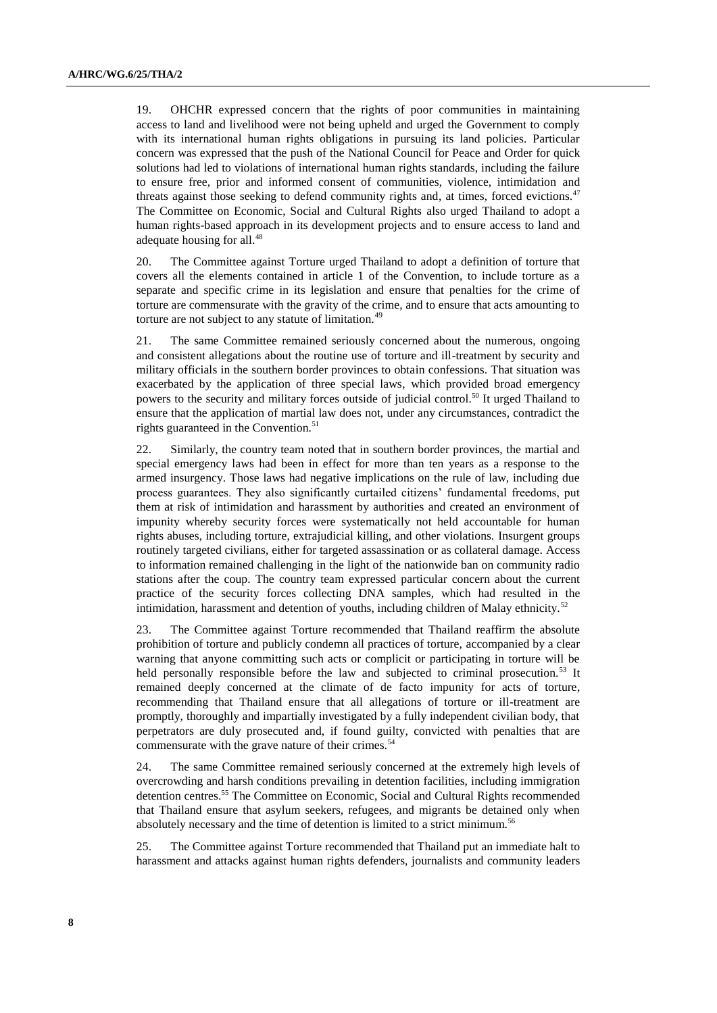19. OHCHR expressed concern that the rights of poor communities in maintaining access to land and livelihood were not being upheld and urged the Government to comply with its international human rights obligations in pursuing its land policies. Particular concern was expressed that the push of the National Council for Peace and Order for quick solutions had led to violations of international human rights standards, including the failure to ensure free, prior and informed consent of communities, violence, intimidation and threats against those seeking to defend community rights and, at times, forced evictions.<sup>47</sup> The Committee on Economic, Social and Cultural Rights also urged Thailand to adopt a human rights-based approach in its development projects and to ensure access to land and adequate housing for all.<sup>48</sup>

20. The Committee against Torture urged Thailand to adopt a definition of torture that covers all the elements contained in article 1 of the Convention, to include torture as a separate and specific crime in its legislation and ensure that penalties for the crime of torture are commensurate with the gravity of the crime, and to ensure that acts amounting to torture are not subject to any statute of limitation.<sup>49</sup>

21. The same Committee remained seriously concerned about the numerous, ongoing and consistent allegations about the routine use of torture and ill-treatment by security and military officials in the southern border provinces to obtain confessions. That situation was exacerbated by the application of three special laws, which provided broad emergency powers to the security and military forces outside of judicial control.<sup>50</sup> It urged Thailand to ensure that the application of martial law does not, under any circumstances, contradict the rights guaranteed in the Convention.<sup>51</sup>

22. Similarly, the country team noted that in southern border provinces, the martial and special emergency laws had been in effect for more than ten years as a response to the armed insurgency. Those laws had negative implications on the rule of law, including due process guarantees. They also significantly curtailed citizens' fundamental freedoms, put them at risk of intimidation and harassment by authorities and created an environment of impunity whereby security forces were systematically not held accountable for human rights abuses, including torture, extrajudicial killing, and other violations. Insurgent groups routinely targeted civilians, either for targeted assassination or as collateral damage. Access to information remained challenging in the light of the nationwide ban on community radio stations after the coup. The country team expressed particular concern about the current practice of the security forces collecting DNA samples, which had resulted in the intimidation, harassment and detention of youths, including children of Malay ethnicity.<sup>52</sup>

23. The Committee against Torture recommended that Thailand reaffirm the absolute prohibition of torture and publicly condemn all practices of torture, accompanied by a clear warning that anyone committing such acts or complicit or participating in torture will be held personally responsible before the law and subjected to criminal prosecution.<sup>53</sup> It remained deeply concerned at the climate of de facto impunity for acts of torture, recommending that Thailand ensure that all allegations of torture or ill-treatment are promptly, thoroughly and impartially investigated by a fully independent civilian body, that perpetrators are duly prosecuted and, if found guilty, convicted with penalties that are commensurate with the grave nature of their crimes.<sup>54</sup>

24. The same Committee remained seriously concerned at the extremely high levels of overcrowding and harsh conditions prevailing in detention facilities, including immigration detention centres. <sup>55</sup> The Committee on Economic, Social and Cultural Rights recommended that Thailand ensure that asylum seekers, refugees, and migrants be detained only when absolutely necessary and the time of detention is limited to a strict minimum.<sup>56</sup>

25. The Committee against Torture recommended that Thailand put an immediate halt to harassment and attacks against human rights defenders, journalists and community leaders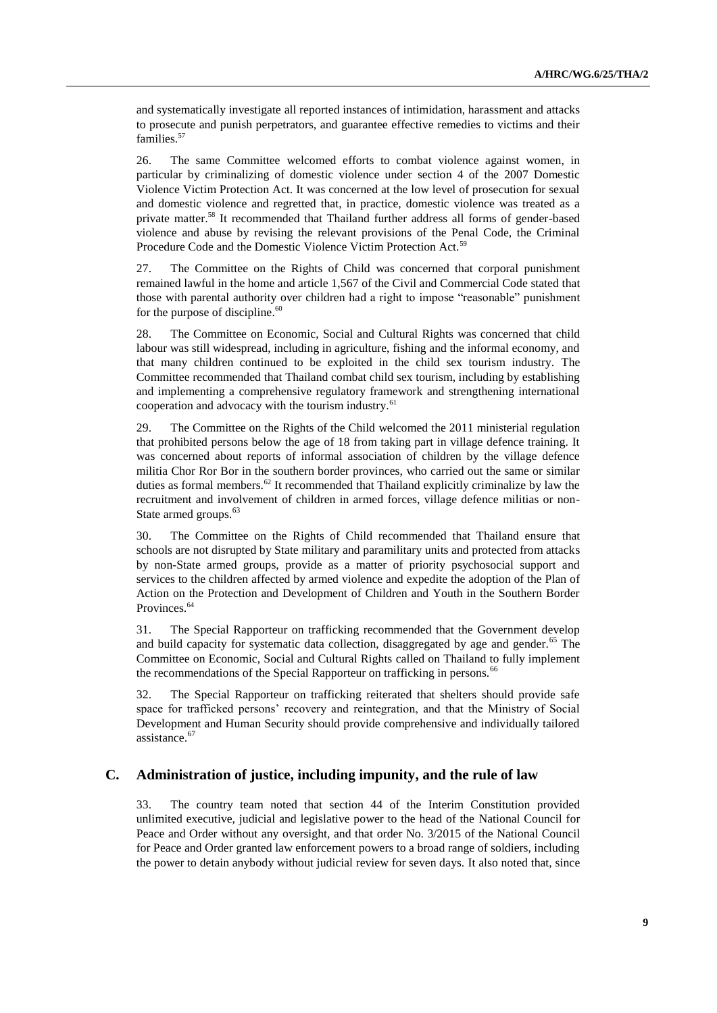and systematically investigate all reported instances of intimidation, harassment and attacks to prosecute and punish perpetrators, and guarantee effective remedies to victims and their families.<sup>57</sup>

26. The same Committee welcomed efforts to combat violence against women, in particular by criminalizing of domestic violence under section 4 of the 2007 Domestic Violence Victim Protection Act. It was concerned at the low level of prosecution for sexual and domestic violence and regretted that, in practice, domestic violence was treated as a private matter.<sup>58</sup> It recommended that Thailand further address all forms of gender-based violence and abuse by revising the relevant provisions of the Penal Code, the Criminal Procedure Code and the Domestic Violence Victim Protection Act.<sup>59</sup>

27. The Committee on the Rights of Child was concerned that corporal punishment remained lawful in the home and article 1,567 of the Civil and Commercial Code stated that those with parental authority over children had a right to impose "reasonable" punishment for the purpose of discipline.<sup>60</sup>

28. The Committee on Economic, Social and Cultural Rights was concerned that child labour was still widespread, including in agriculture, fishing and the informal economy, and that many children continued to be exploited in the child sex tourism industry. The Committee recommended that Thailand combat child sex tourism, including by establishing and implementing a comprehensive regulatory framework and strengthening international cooperation and advocacy with the tourism industry.<sup>61</sup>

29. The Committee on the Rights of the Child welcomed the 2011 ministerial regulation that prohibited persons below the age of 18 from taking part in village defence training. It was concerned about reports of informal association of children by the village defence militia Chor Ror Bor in the southern border provinces, who carried out the same or similar duties as formal members.<sup>62</sup> It recommended that Thailand explicitly criminalize by law the recruitment and involvement of children in armed forces, village defence militias or non-State armed groups.<sup>63</sup>

30. The Committee on the Rights of Child recommended that Thailand ensure that schools are not disrupted by State military and paramilitary units and protected from attacks by non-State armed groups, provide as a matter of priority psychosocial support and services to the children affected by armed violence and expedite the adoption of the Plan of Action on the Protection and Development of Children and Youth in the Southern Border Provinces.<sup>64</sup>

31. The Special Rapporteur on trafficking recommended that the Government develop and build capacity for systematic data collection, disaggregated by age and gender.<sup>65</sup> The Committee on Economic, Social and Cultural Rights called on Thailand to fully implement the recommendations of the Special Rapporteur on trafficking in persons.<sup>66</sup>

32. The Special Rapporteur on trafficking reiterated that shelters should provide safe space for trafficked persons' recovery and reintegration, and that the Ministry of Social Development and Human Security should provide comprehensive and individually tailored assistance.<sup>67</sup>

### **C. Administration of justice, including impunity, and the rule of law**

33. The country team noted that section 44 of the Interim Constitution provided unlimited executive, judicial and legislative power to the head of the National Council for Peace and Order without any oversight, and that order No. 3/2015 of the National Council for Peace and Order granted law enforcement powers to a broad range of soldiers, including the power to detain anybody without judicial review for seven days. It also noted that, since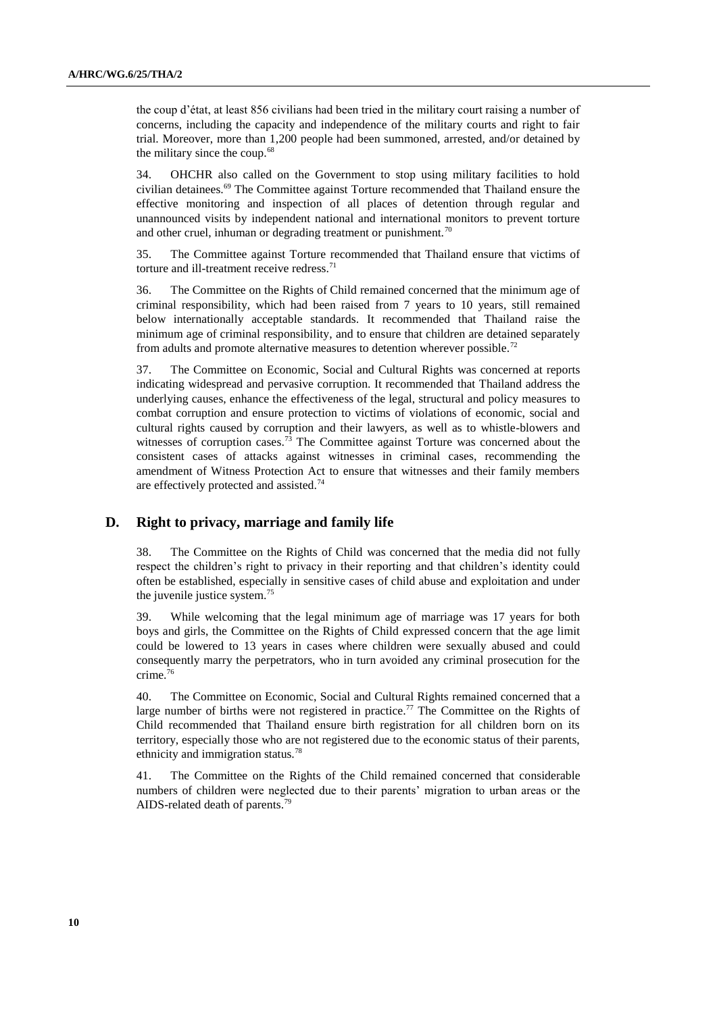the coup d'état, at least 856 civilians had been tried in the military court raising a number of concerns, including the capacity and independence of the military courts and right to fair trial. Moreover, more than 1,200 people had been summoned, arrested, and/or detained by the military since the coup.<sup>68</sup>

34. OHCHR also called on the Government to stop using military facilities to hold civilian detainees.<sup>69</sup> The Committee against Torture recommended that Thailand ensure the effective monitoring and inspection of all places of detention through regular and unannounced visits by independent national and international monitors to prevent torture and other cruel, inhuman or degrading treatment or punishment.<sup>70</sup>

35. The Committee against Torture recommended that Thailand ensure that victims of torture and ill-treatment receive redress. $71$ 

36. The Committee on the Rights of Child remained concerned that the minimum age of criminal responsibility, which had been raised from 7 years to 10 years, still remained below internationally acceptable standards. It recommended that Thailand raise the minimum age of criminal responsibility, and to ensure that children are detained separately from adults and promote alternative measures to detention wherever possible.<sup>72</sup>

37. The Committee on Economic, Social and Cultural Rights was concerned at reports indicating widespread and pervasive corruption. It recommended that Thailand address the underlying causes, enhance the effectiveness of the legal, structural and policy measures to combat corruption and ensure protection to victims of violations of economic, social and cultural rights caused by corruption and their lawyers, as well as to whistle-blowers and witnesses of corruption cases.<sup>73</sup> The Committee against Torture was concerned about the consistent cases of attacks against witnesses in criminal cases, recommending the amendment of Witness Protection Act to ensure that witnesses and their family members are effectively protected and assisted.<sup>74</sup>

#### **D. Right to privacy, marriage and family life**

38. The Committee on the Rights of Child was concerned that the media did not fully respect the children's right to privacy in their reporting and that children's identity could often be established, especially in sensitive cases of child abuse and exploitation and under the juvenile justice system. 75

39. While welcoming that the legal minimum age of marriage was 17 years for both boys and girls, the Committee on the Rights of Child expressed concern that the age limit could be lowered to 13 years in cases where children were sexually abused and could consequently marry the perpetrators, who in turn avoided any criminal prosecution for the crime.<sup>76</sup>

40. The Committee on Economic, Social and Cultural Rights remained concerned that a large number of births were not registered in practice.<sup>77</sup> The Committee on the Rights of Child recommended that Thailand ensure birth registration for all children born on its territory, especially those who are not registered due to the economic status of their parents, ethnicity and immigration status.<sup>78</sup>

41. The Committee on the Rights of the Child remained concerned that considerable numbers of children were neglected due to their parents' migration to urban areas or the AIDS-related death of parents. 79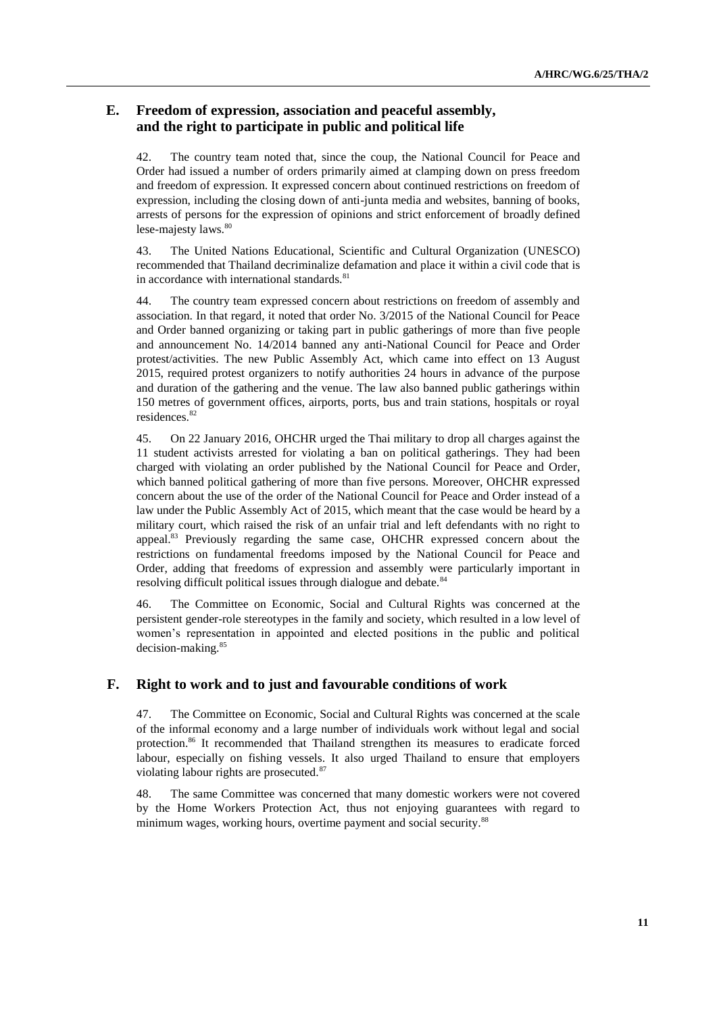## **E. Freedom of expression, association and peaceful assembly, and the right to participate in public and political life**

42. The country team noted that, since the coup, the National Council for Peace and Order had issued a number of orders primarily aimed at clamping down on press freedom and freedom of expression. It expressed concern about continued restrictions on freedom of expression, including the closing down of anti-junta media and websites, banning of books, arrests of persons for the expression of opinions and strict enforcement of broadly defined lese-majesty laws.<sup>80</sup>

43. The United Nations Educational, Scientific and Cultural Organization (UNESCO) recommended that Thailand decriminalize defamation and place it within a civil code that is in accordance with international standards.<sup>81</sup>

44. The country team expressed concern about restrictions on freedom of assembly and association. In that regard, it noted that order No. 3/2015 of the National Council for Peace and Order banned organizing or taking part in public gatherings of more than five people and announcement No. 14/2014 banned any anti-National Council for Peace and Order protest/activities. The new Public Assembly Act, which came into effect on 13 August 2015, required protest organizers to notify authorities 24 hours in advance of the purpose and duration of the gathering and the venue. The law also banned public gatherings within 150 metres of government offices, airports, ports, bus and train stations, hospitals or royal residences.<sup>82</sup>

45. On 22 January 2016, OHCHR urged the Thai military to drop all charges against the 11 student activists arrested for violating a ban on political gatherings. They had been charged with violating an order published by the National Council for Peace and Order, which banned political gathering of more than five persons. Moreover, OHCHR expressed concern about the use of the order of the National Council for Peace and Order instead of a law under the Public Assembly Act of 2015, which meant that the case would be heard by a military court, which raised the risk of an unfair trial and left defendants with no right to appeal.<sup>83</sup> Previously regarding the same case, OHCHR expressed concern about the restrictions on fundamental freedoms imposed by the National Council for Peace and Order, adding that freedoms of expression and assembly were particularly important in resolving difficult political issues through dialogue and debate.<sup>84</sup>

46. The Committee on Economic, Social and Cultural Rights was concerned at the persistent gender-role stereotypes in the family and society, which resulted in a low level of women's representation in appointed and elected positions in the public and political decision-making.<sup>85</sup>

### **F. Right to work and to just and favourable conditions of work**

47. The Committee on Economic, Social and Cultural Rights was concerned at the scale of the informal economy and a large number of individuals work without legal and social protection.<sup>86</sup> It recommended that Thailand strengthen its measures to eradicate forced labour, especially on fishing vessels. It also urged Thailand to ensure that employers violating labour rights are prosecuted.<sup>87</sup>

48. The same Committee was concerned that many domestic workers were not covered by the Home Workers Protection Act, thus not enjoying guarantees with regard to minimum wages, working hours, overtime payment and social security.<sup>88</sup>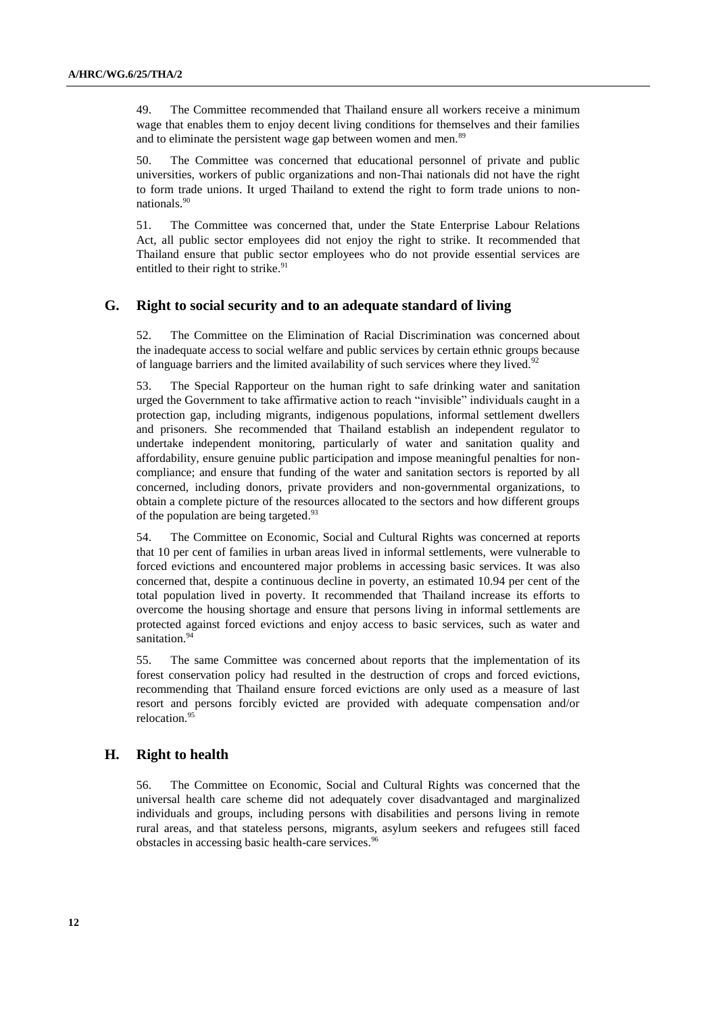49. The Committee recommended that Thailand ensure all workers receive a minimum wage that enables them to enjoy decent living conditions for themselves and their families and to eliminate the persistent wage gap between women and men.<sup>89</sup>

50. The Committee was concerned that educational personnel of private and public universities, workers of public organizations and non-Thai nationals did not have the right to form trade unions. It urged Thailand to extend the right to form trade unions to nonnationals. 90

51. The Committee was concerned that, under the State Enterprise Labour Relations Act, all public sector employees did not enjoy the right to strike. It recommended that Thailand ensure that public sector employees who do not provide essential services are entitled to their right to strike.<sup>91</sup>

#### **G. Right to social security and to an adequate standard of living**

52. The Committee on the Elimination of Racial Discrimination was concerned about the inadequate access to social welfare and public services by certain ethnic groups because of language barriers and the limited availability of such services where they lived.<sup>92</sup>

53. The Special Rapporteur on the human right to safe drinking water and sanitation urged the Government to take affirmative action to reach "invisible" individuals caught in a protection gap, including migrants, indigenous populations, informal settlement dwellers and prisoners. She recommended that Thailand establish an independent regulator to undertake independent monitoring, particularly of water and sanitation quality and affordability, ensure genuine public participation and impose meaningful penalties for noncompliance; and ensure that funding of the water and sanitation sectors is reported by all concerned, including donors, private providers and non-governmental organizations, to obtain a complete picture of the resources allocated to the sectors and how different groups of the population are being targeted.<sup>93</sup>

54. The Committee on Economic, Social and Cultural Rights was concerned at reports that 10 per cent of families in urban areas lived in informal settlements, were vulnerable to forced evictions and encountered major problems in accessing basic services. It was also concerned that, despite a continuous decline in poverty, an estimated 10.94 per cent of the total population lived in poverty. It recommended that Thailand increase its efforts to overcome the housing shortage and ensure that persons living in informal settlements are protected against forced evictions and enjoy access to basic services, such as water and sanitation.<sup>94</sup>

55. The same Committee was concerned about reports that the implementation of its forest conservation policy had resulted in the destruction of crops and forced evictions, recommending that Thailand ensure forced evictions are only used as a measure of last resort and persons forcibly evicted are provided with adequate compensation and/or relocation.<sup>95</sup>

### **H. Right to health**

56. The Committee on Economic, Social and Cultural Rights was concerned that the universal health care scheme did not adequately cover disadvantaged and marginalized individuals and groups, including persons with disabilities and persons living in remote rural areas, and that stateless persons, migrants, asylum seekers and refugees still faced obstacles in accessing basic health-care services. 96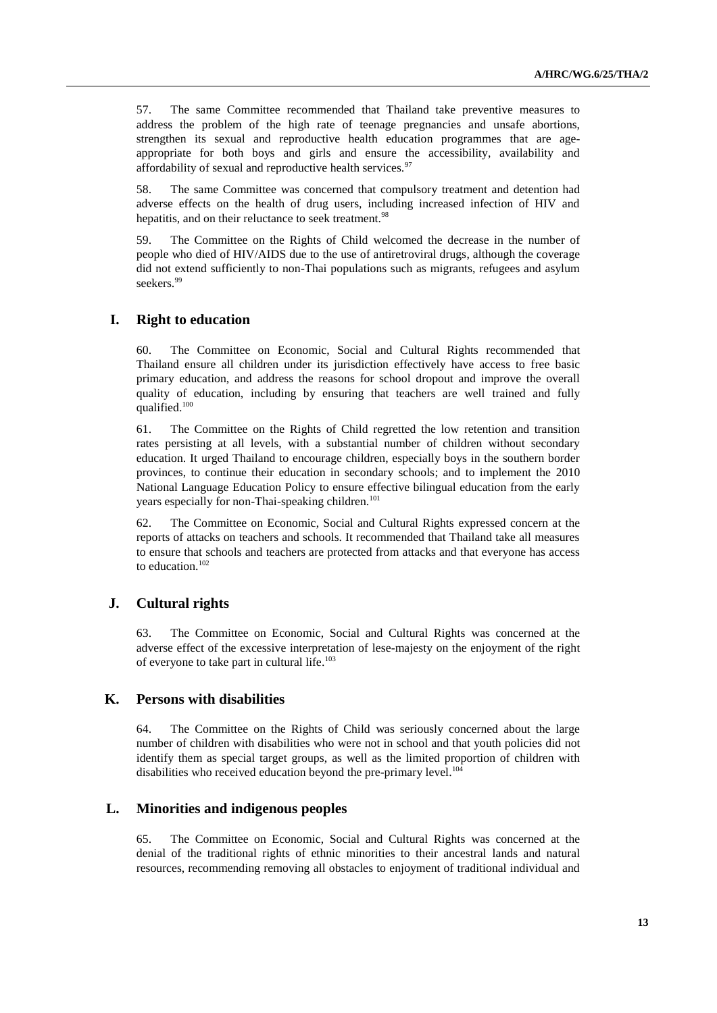57. The same Committee recommended that Thailand take preventive measures to address the problem of the high rate of teenage pregnancies and unsafe abortions, strengthen its sexual and reproductive health education programmes that are ageappropriate for both boys and girls and ensure the accessibility, availability and affordability of sexual and reproductive health services.<sup>97</sup>

58. The same Committee was concerned that compulsory treatment and detention had adverse effects on the health of drug users, including increased infection of HIV and hepatitis, and on their reluctance to seek treatment.<sup>98</sup>

59. The Committee on the Rights of Child welcomed the decrease in the number of people who died of HIV/AIDS due to the use of antiretroviral drugs, although the coverage did not extend sufficiently to non-Thai populations such as migrants, refugees and asylum seekers.<sup>99</sup>

## **I. Right to education**

60. The Committee on Economic, Social and Cultural Rights recommended that Thailand ensure all children under its jurisdiction effectively have access to free basic primary education, and address the reasons for school dropout and improve the overall quality of education, including by ensuring that teachers are well trained and fully qualified.<sup>100</sup>

61. The Committee on the Rights of Child regretted the low retention and transition rates persisting at all levels, with a substantial number of children without secondary education. It urged Thailand to encourage children, especially boys in the southern border provinces, to continue their education in secondary schools; and to implement the 2010 National Language Education Policy to ensure effective bilingual education from the early years especially for non-Thai-speaking children.<sup>101</sup>

62. The Committee on Economic, Social and Cultural Rights expressed concern at the reports of attacks on teachers and schools. It recommended that Thailand take all measures to ensure that schools and teachers are protected from attacks and that everyone has access to education.<sup>102</sup>

## **J. Cultural rights**

63. The Committee on Economic, Social and Cultural Rights was concerned at the adverse effect of the excessive interpretation of lese-majesty on the enjoyment of the right of everyone to take part in cultural life. 103

### **K. Persons with disabilities**

64. The Committee on the Rights of Child was seriously concerned about the large number of children with disabilities who were not in school and that youth policies did not identify them as special target groups, as well as the limited proportion of children with disabilities who received education beyond the pre-primary level.<sup>104</sup>

## **L. Minorities and indigenous peoples**

65. The Committee on Economic, Social and Cultural Rights was concerned at the denial of the traditional rights of ethnic minorities to their ancestral lands and natural resources, recommending removing all obstacles to enjoyment of traditional individual and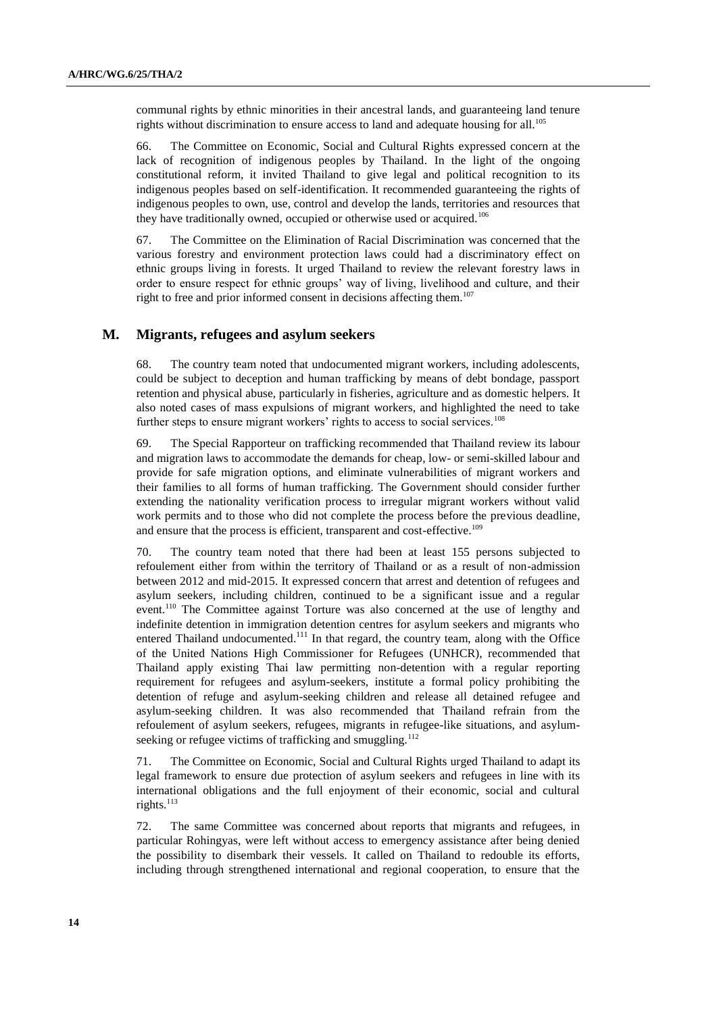communal rights by ethnic minorities in their ancestral lands, and guaranteeing land tenure rights without discrimination to ensure access to land and adequate housing for all.<sup>105</sup>

66. The Committee on Economic, Social and Cultural Rights expressed concern at the lack of recognition of indigenous peoples by Thailand. In the light of the ongoing constitutional reform, it invited Thailand to give legal and political recognition to its indigenous peoples based on self-identification. It recommended guaranteeing the rights of indigenous peoples to own, use, control and develop the lands, territories and resources that they have traditionally owned, occupied or otherwise used or acquired.<sup>106</sup>

67. The Committee on the Elimination of Racial Discrimination was concerned that the various forestry and environment protection laws could had a discriminatory effect on ethnic groups living in forests. It urged Thailand to review the relevant forestry laws in order to ensure respect for ethnic groups' way of living, livelihood and culture, and their right to free and prior informed consent in decisions affecting them.<sup>107</sup>

#### **M. Migrants, refugees and asylum seekers**

68. The country team noted that undocumented migrant workers, including adolescents, could be subject to deception and human trafficking by means of debt bondage, passport retention and physical abuse, particularly in fisheries, agriculture and as domestic helpers. It also noted cases of mass expulsions of migrant workers, and highlighted the need to take further steps to ensure migrant workers' rights to access to social services.<sup>108</sup>

69. The Special Rapporteur on trafficking recommended that Thailand review its labour and migration laws to accommodate the demands for cheap, low- or semi-skilled labour and provide for safe migration options, and eliminate vulnerabilities of migrant workers and their families to all forms of human trafficking. The Government should consider further extending the nationality verification process to irregular migrant workers without valid work permits and to those who did not complete the process before the previous deadline, and ensure that the process is efficient, transparent and cost-effective.<sup>109</sup>

70. The country team noted that there had been at least 155 persons subjected to refoulement either from within the territory of Thailand or as a result of non-admission between 2012 and mid-2015. It expressed concern that arrest and detention of refugees and asylum seekers, including children, continued to be a significant issue and a regular event.<sup>110</sup> The Committee against Torture was also concerned at the use of lengthy and indefinite detention in immigration detention centres for asylum seekers and migrants who entered Thailand undocumented.<sup>111</sup> In that regard, the country team, along with the Office of the United Nations High Commissioner for Refugees (UNHCR), recommended that Thailand apply existing Thai law permitting non-detention with a regular reporting requirement for refugees and asylum-seekers, institute a formal policy prohibiting the detention of refuge and asylum-seeking children and release all detained refugee and asylum-seeking children. It was also recommended that Thailand refrain from the refoulement of asylum seekers, refugees, migrants in refugee-like situations, and asylumseeking or refugee victims of trafficking and smuggling.<sup>112</sup>

71. The Committee on Economic, Social and Cultural Rights urged Thailand to adapt its legal framework to ensure due protection of asylum seekers and refugees in line with its international obligations and the full enjoyment of their economic, social and cultural rights.<sup>113</sup>

72. The same Committee was concerned about reports that migrants and refugees, in particular Rohingyas, were left without access to emergency assistance after being denied the possibility to disembark their vessels. It called on Thailand to redouble its efforts, including through strengthened international and regional cooperation, to ensure that the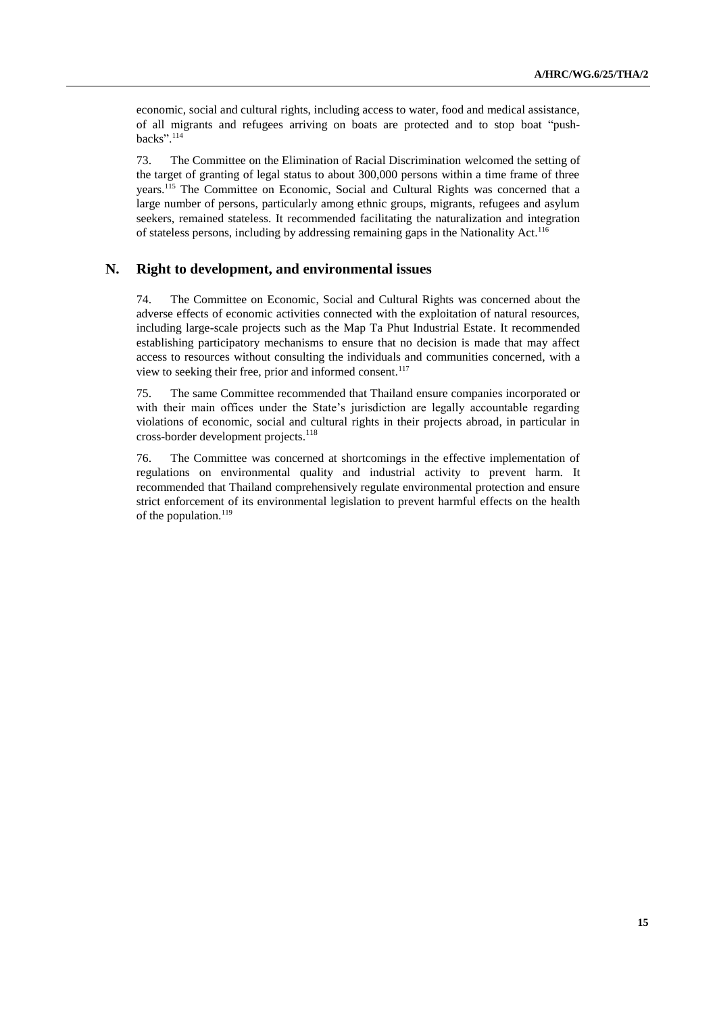economic, social and cultural rights, including access to water, food and medical assistance, of all migrants and refugees arriving on boats are protected and to stop boat "pushbacks". 114

73. The Committee on the Elimination of Racial Discrimination welcomed the setting of the target of granting of legal status to about 300,000 persons within a time frame of three years.<sup>115</sup> The Committee on Economic, Social and Cultural Rights was concerned that a large number of persons, particularly among ethnic groups, migrants, refugees and asylum seekers, remained stateless. It recommended facilitating the naturalization and integration of stateless persons, including by addressing remaining gaps in the Nationality Act.<sup>116</sup>

#### **N. Right to development, and environmental issues**

74. The Committee on Economic, Social and Cultural Rights was concerned about the adverse effects of economic activities connected with the exploitation of natural resources, including large-scale projects such as the Map Ta Phut Industrial Estate. It recommended establishing participatory mechanisms to ensure that no decision is made that may affect access to resources without consulting the individuals and communities concerned, with a view to seeking their free, prior and informed consent.<sup>117</sup>

75. The same Committee recommended that Thailand ensure companies incorporated or with their main offices under the State's jurisdiction are legally accountable regarding violations of economic, social and cultural rights in their projects abroad, in particular in cross-border development projects.<sup>118</sup>

76. The Committee was concerned at shortcomings in the effective implementation of regulations on environmental quality and industrial activity to prevent harm. It recommended that Thailand comprehensively regulate environmental protection and ensure strict enforcement of its environmental legislation to prevent harmful effects on the health of the population.<sup>119</sup>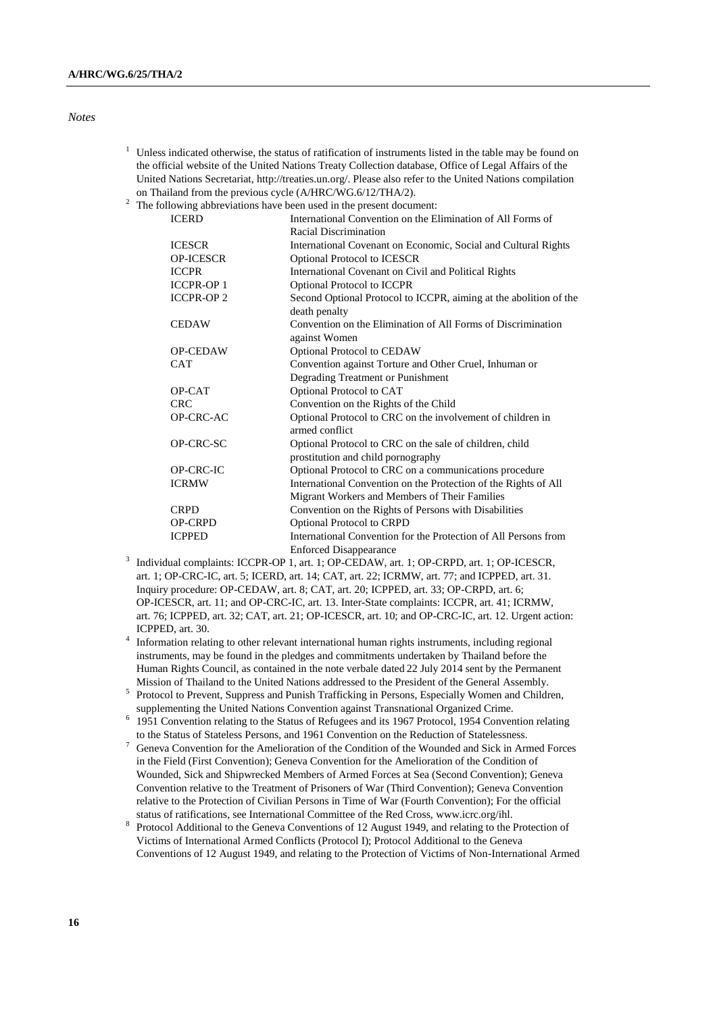#### *Notes*

- $1$  Unless indicated otherwise, the status of ratification of instruments listed in the table may be found on the official website of the United Nations Treaty Collection database, Office of Legal Affairs of the United Nations Secretariat, [http://treaties.un.org/.](http://treaties.un.org/) Please also refer to the United Nations compilation on Thailand from the previous cycle (A/HRC/WG.6/12/THA/2).
- <sup>2</sup> The following abbreviations have been used in the present document:

| <b>ICERD</b>     | International Convention on the Elimination of All Forms of                   |
|------------------|-------------------------------------------------------------------------------|
|                  | Racial Discrimination                                                         |
| <b>ICESCR</b>    | International Covenant on Economic, Social and Cultural Rights                |
| <b>OP-ICESCR</b> | Optional Protocol to ICESCR                                                   |
| <b>ICCPR</b>     | International Covenant on Civil and Political Rights                          |
| <b>ICCPR-OP1</b> | <b>Optional Protocol to ICCPR</b>                                             |
| <b>ICCPR-OP2</b> | Second Optional Protocol to ICCPR, aiming at the abolition of the             |
|                  | death penalty                                                                 |
| <b>CEDAW</b>     | Convention on the Elimination of All Forms of Discrimination<br>against Women |
| <b>OP-CEDAW</b>  | Optional Protocol to CEDAW                                                    |
| <b>CAT</b>       | Convention against Torture and Other Cruel, Inhuman or                        |
|                  | Degrading Treatment or Punishment                                             |
| OP-CAT           | Optional Protocol to CAT                                                      |
| <b>CRC</b>       | Convention on the Rights of the Child                                         |
| <b>OP-CRC-AC</b> | Optional Protocol to CRC on the involvement of children in<br>armed conflict  |
| OP-CRC-SC        | Optional Protocol to CRC on the sale of children, child                       |
|                  | prostitution and child pornography                                            |
| <b>OP-CRC-IC</b> | Optional Protocol to CRC on a communications procedure                        |
| <b>ICRMW</b>     | International Convention on the Protection of the Rights of All               |
|                  | Migrant Workers and Members of Their Families                                 |
| <b>CRPD</b>      | Convention on the Rights of Persons with Disabilities                         |
| <b>OP-CRPD</b>   | Optional Protocol to CRPD                                                     |
| <b>ICPPED</b>    | International Convention for the Protection of All Persons from               |
|                  | <b>Enforced Disappearance</b>                                                 |

- Enforced Disappearance<br>
<sup>3</sup> Individual complaints: ICCPR-OP 1, art. 1; OP-CEDAW, art. 1; OP-CRPD, art. 1; OP-ICESCR, art. 1; OP-CRC-IC, art. 5; ICERD, art. 14; CAT, art. 22; ICRMW, art. 77; and ICPPED, art. 31. Inquiry procedure: OP-CEDAW, art. 8; CAT, art. 20; ICPPED, art. 33; OP-CRPD, art. 6; OP-ICESCR, art. 11; and OP-CRC-IC, art. 13. Inter-State complaints: ICCPR, art. 41; ICRMW, art. 76; ICPPED, art. 32; CAT, art. 21; OP-ICESCR, art. 10; and OP-CRC-IC, art. 12. Urgent action: ICPPED, art. 30.
- <sup>4</sup> Information relating to other relevant international human rights instruments, including regional instruments, may be found in the pledges and commitments undertaken by Thailand before the Human Rights Council, as contained in the note verbale dated 22 July 2014 sent by the Permanent Mission of Thailand to the United Nations addressed to the President of the General Assembly.
- 5 Protocol to Prevent, Suppress and Punish Trafficking in Persons, Especially Women and Children, supplementing the United Nations Convention against Transnational Organized Crime.
- <sup>6</sup> 1951 Convention relating to the Status of Refugees and its 1967 Protocol, 1954 Convention relating to the Status of Stateless Persons, and 1961 Convention on the Reduction of Statelessness.
- <sup>7</sup> Geneva Convention for the Amelioration of the Condition of the Wounded and Sick in Armed Forces in the Field (First Convention); Geneva Convention for the Amelioration of the Condition of Wounded, Sick and Shipwrecked Members of Armed Forces at Sea (Second Convention); Geneva Convention relative to the Treatment of Prisoners of War (Third Convention); Geneva Convention relative to the Protection of Civilian Persons in Time of War (Fourth Convention); For the official status of ratifications, see International Committee of the Red Cross, www.icrc.org/ihl.
- 8 Protocol Additional to the Geneva Conventions of 12 August 1949, and relating to the Protection of Victims of International Armed Conflicts (Protocol I); Protocol Additional to the Geneva Conventions of 12 August 1949, and relating to the Protection of Victims of Non-International Armed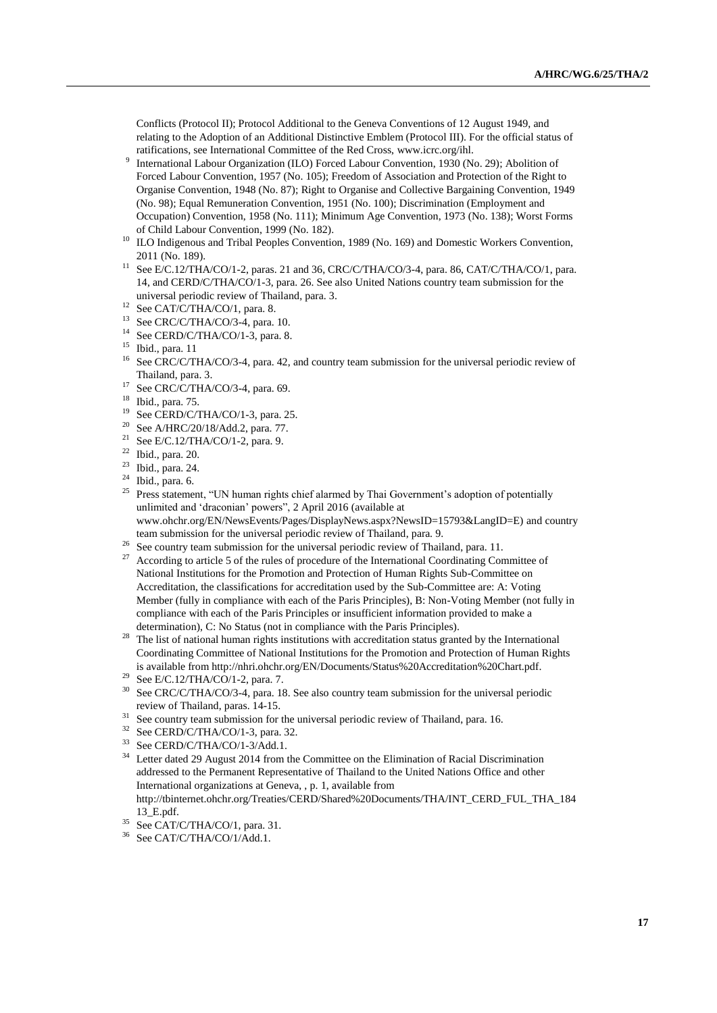Conflicts (Protocol II); Protocol Additional to the Geneva Conventions of 12 August 1949, and relating to the Adoption of an Additional Distinctive Emblem (Protocol III). For the official status of ratifications, see International Committee of the Red Cross, www.icrc.org/ihl.

- 9 International Labour Organization (ILO) Forced Labour Convention, 1930 (No. 29); Abolition of Forced Labour Convention, 1957 (No. 105); Freedom of Association and Protection of the Right to Organise Convention, 1948 (No. 87); Right to Organise and Collective Bargaining Convention, 1949 (No. 98); Equal Remuneration Convention, 1951 (No. 100); Discrimination (Employment and Occupation) Convention, 1958 (No. 111); Minimum Age Convention, 1973 (No. 138); Worst Forms of Child Labour Convention, 1999 (No. 182).
- <sup>10</sup> ILO Indigenous and Tribal Peoples Convention, 1989 (No. 169) and Domestic Workers Convention, 2011 (No. 189).
- <sup>11</sup> See E/C.12/THA/CO/1-2, paras. 21 and 36, CRC/C/THA/CO/3-4, para. 86, CAT/C/THA/CO/1, para. 14, and CERD/C/THA/CO/1-3, para. 26. See also United Nations country team submission for the universal periodic review of Thailand, para. 3.
- $12$  See CAT/C/THA/CO/1, para. 8.
- <sup>13</sup> See CRC/C/THA/CO/3-4, para. 10.
- <sup>14</sup> See CERD/C/THA/CO/1-3, para. 8.
- <sup>15</sup> Ibid., para. 11
- <sup>16</sup> See CRC/C/THA/CO/3-4, para. 42, and country team submission for the universal periodic review of Thailand, para. 3.
- $17$  See CRC/C/THA/CO/3-4, para. 69.
- <sup>18</sup> Ibid., para. 75.
- <sup>19</sup> See CERD/C/THA/CO/1-3, para. 25.<br><sup>20</sup> See A/HPC/20/18/Add 2, para. 77.
- <sup>20</sup> See A/HRC/20/18/Add.2, para. 77.<br><sup>21</sup> See E/C 12/THA/CO/1.2, para. 9.
- See E/C.12/THA/CO/1-2, para. 9.
- $\frac{22}{23}$  Ibid., para. 20.
- Ibid., para. 24.
- <sup>24</sup> Ibid., para. 6.
- <sup>25</sup> Press statement, "UN human rights chief alarmed by Thai Government's adoption of potentially unlimited and 'draconian' powers", 2 April 2016 (available at www.ohchr.org/EN/NewsEvents/Pages/DisplayNews.aspx?NewsID=15793&LangID=E) and country team submission for the universal periodic review of Thailand, para. 9.
- <sup>26</sup> See country team submission for the universal periodic review of Thailand, para. 11.
- According to article 5 of the rules of procedure of the International Coordinating Committee of National Institutions for the Promotion and Protection of Human Rights Sub-Committee on Accreditation, the classifications for accreditation used by the Sub-Committee are: A: Voting Member (fully in compliance with each of the Paris Principles), B: Non-Voting Member (not fully in compliance with each of the Paris Principles or insufficient information provided to make a determination), C: No Status (not in compliance with the Paris Principles).
- <sup>28</sup> The list of national human rights institutions with accreditation status granted by the International Coordinating Committee of National Institutions for the Promotion and Protection of Human Rights is available from http://nhri.ohchr.org/EN/Documents/Status%20Accreditation%20Chart.pdf.
- <sup>29</sup> See E/C.12/THA/CO/1-2, para. 7.
- <sup>30</sup> See CRC/C/THA/CO/3-4, para. 18. See also country team submission for the universal periodic review of Thailand, paras. 14-15.
- <sup>31</sup> See country team submission for the universal periodic review of Thailand, para. 16.
- <sup>32</sup> See CERD/C/THA/CO/1-3, para. 32.<br><sup>33</sup> See CERD/C/THA/CO/1 3/Add 1
- See CERD/C/THA/CO/1-3/Add.1.
- <sup>34</sup> Letter dated 29 August 2014 from the Committee on the Elimination of Racial Discrimination addressed to the Permanent Representative of Thailand to the United Nations Office and other International organizations at Geneva, , p. 1, available from [http://tbinternet.ohchr.org/Treaties/CERD/Shared%20Documents/THA/INT\\_CERD\\_FUL\\_THA\\_184](http://tbinternet.ohchr.org/Treaties/CERD/Shared%20Documents/THA/INT_CERD_FUL_THA_18413_E.pdf) [13\\_E.pdf.](http://tbinternet.ohchr.org/Treaties/CERD/Shared%20Documents/THA/INT_CERD_FUL_THA_18413_E.pdf)
- <sup>35</sup> See CAT/C/THA/CO/1, para. 31.<br><sup>36</sup> See CAT/C/THA/CO/1/Add 1
- See CAT/C/THA/CO/1/Add.1.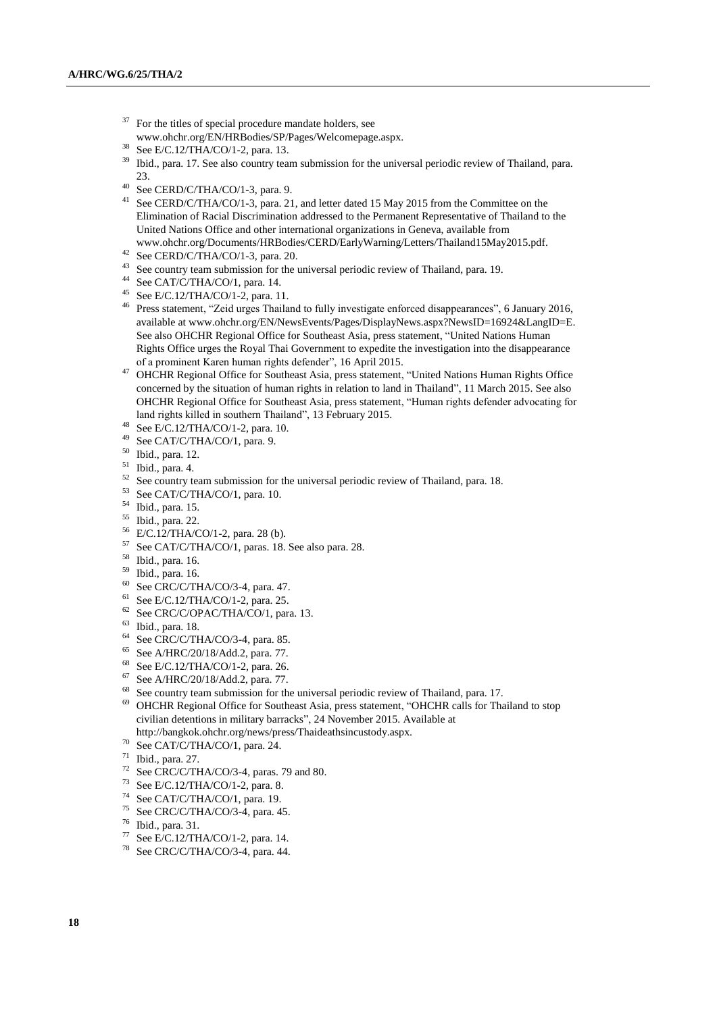- For the titles of special procedure mandate holders, see www.ohchr.org/EN/HRBodies/SP/Pages/Welcomepage.aspx.
- $38$  See E/C.12/THA/CO/1-2, para. 13.<br> $39$  Ibid. para. 17 See also country tear
- <sup>39</sup> Ibid., para. 17. See also country team submission for the universal periodic review of Thailand, para. 23.
- $^{40}$  See CERD/C/THA/CO/1-3, para. 9.
- <sup>41</sup> See CERD/C/THA/CO/1-3, para. 21, and letter dated 15 May 2015 from the Committee on the Elimination of Racial Discrimination addressed to the Permanent Representative of Thailand to the United Nations Office and other international organizations in Geneva, available from [www.ohchr.org/Documents/HRBodies/CERD/EarlyWarning/Letters/Thailand15May2015.pdf.](http://www.ohchr.org/Documents/HRBodies/CERD/EarlyWarning/Letters/Thailand15May2015.pdf)
- <sup>42</sup> See CERD/C/THA/CO/1-3, para. 20.
- <sup>43</sup> See country team submission for the universal periodic review of Thailand, para. 19.
- <sup>44</sup> See CAT/C/THA/CO/1, para. 14.
- <sup>45</sup> See E/C.12/THA/CO/1-2, para. 11.
- <sup>46</sup> Press statement, "Zeid urges Thailand to fully investigate enforced disappearances", 6 January 2016, available at www.ohchr.org/EN/NewsEvents/Pages/DisplayNews.aspx?NewsID=16924&LangID=E. See also OHCHR Regional Office for Southeast Asia, press statement, "United Nations Human Rights Office urges the Royal Thai Government to expedite the investigation into the disappearance of a prominent Karen human rights defender", 16 April 2015.
- <sup>47</sup> OHCHR Regional Office for Southeast Asia, press statement, "United Nations Human Rights Office concerned by the situation of human rights in relation to land in Thailand", 11 March 2015. See also OHCHR Regional Office for Southeast Asia, press statement, "Human rights defender advocating for land rights killed in southern Thailand", 13 February 2015.
- <sup>48</sup> See E/C.12/THA/CO/1-2, para. 10.
- See CAT/C/THA/CO/1, para. 9.
- $^{50}$  Ibid., para. 12.
- $^{51}$  Ibid., para. 4.
- <sup>52</sup> See country team submission for the universal periodic review of Thailand, para. 18.<br><sup>53</sup> See CAT/C/THA/CO/1, para. 10.
- $^{53}$  See CAT/C/THA/CO/1, para. 10.<br> $^{54}$  Thid, para. 15
- Ibid., para. 15.
- <sup>55</sup> Ibid., para. 22.
- $^{56}$  E/C.12/THA/CO/1-2, para. 28 (b).<br> $^{57}$  See CAT/C/THA/CO/1, paras. 18
- See CAT/C/THA/CO/1, paras. 18. See also para. 28.
- <sup>58</sup> Ibid., para. 16.
- $^{59}$  Ibid., para. 16.
- See CRC/C/THA/CO/3-4, para. 47.
- <sup>61</sup> See E/C.12/THA/CO/1-2, para. 25.
- $62$  See CRC/C/OPAC/THA/CO/1, para. 13.
- <sup>63</sup> Ibid., para. 18.
- <sup>64</sup> See CRC/C/THA/CO/3-4, para. 85.
- <sup>65</sup> See A/HRC/20/18/Add.2, para. 77.
- <sup>68</sup> See E/C.12/THA/CO/1-2, para. 26.
- <sup>67</sup> See A/HRC/20/18/Add.2, para. 77.
- <sup>68</sup> See country team submission for the universal periodic review of Thailand, para. 17.
- <sup>69</sup> OHCHR Regional Office for Southeast Asia, press statement, "OHCHR calls for Thailand to stop civilian detentions in military barracks", 24 November 2015. Available at
- http://bangkok.ohchr.org/news/press/Thaideathsincustody.aspx.
- $70$  See CAT/C/THA/CO/1, para. 24.
- $^{71}$  Ibid., para. 27.<br> $^{72}$  See CRC/C/TE
- <sup>72</sup> See CRC/C/THA/CO/3-4, paras. 79 and 80.<br><sup>73</sup> See E/C 12.7TLA/CO/1.2, gaze, 8
- <sup>73</sup> See E/C.12/THA/CO/1-2, para. 8.<br><sup>74</sup> See CAT/C/TUA/CO/1, para. 10
- <sup>74</sup> See CAT/C/THA/CO/1, para. 19.
- $^{75}$  See CRC/C/THA/CO/3-4, para. 45.
- $^{76}$  Ibid., para. 31.<br> $^{77}$  See F/C 12/TH
- $^{77}$  See E/C.12/THA/CO/1-2, para. 14.<br> $^{78}$  See CRC/C/THA/CO/3-4, para. 44
- See CRC/C/THA/CO/3-4, para. 44.